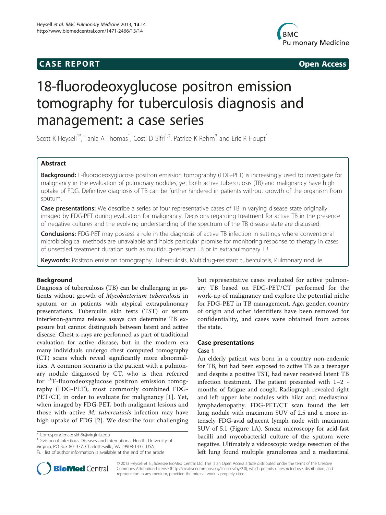# **CASE REPORT CASE REPORT**



# 18-fluorodeoxyglucose positron emission tomography for tuberculosis diagnosis and management: a case series

Scott K Heysell<sup>1\*</sup>, Tania A Thomas<sup>1</sup>, Costi D Sifri<sup>1,2</sup>, Patrice K Rehm<sup>3</sup> and Eric R Houpt<sup>1</sup>

# Abstract

Background: F-fluorodeoxyglucose positron emission tomography (FDG-PET) is increasingly used to investigate for malignancy in the evaluation of pulmonary nodules, yet both active tuberculosis (TB) and malignancy have high uptake of FDG. Definitive diagnosis of TB can be further hindered in patients without growth of the organism from sputum.

Case presentations: We describe a series of four representative cases of TB in varying disease state originally imaged by FDG-PET during evaluation for malignancy. Decisions regarding treatment for active TB in the presence of negative cultures and the evolving understanding of the spectrum of the TB disease state are discussed.

**Conclusions:** FDG-PET may possess a role in the diagnosis of active TB infection in settings where conventional microbiological methods are unavaiable and holds particular promise for monitoring response to therapy in cases of unsettled treatment duration such as multidrug-resistant TB or in extrapulmonary TB.

Keywords: Positron emission tomography, Tuberculosis, Multidrug-resistant tuberculosis, Pulmonary nodule

# Background

Diagnosis of tuberculosis (TB) can be challenging in patients without growth of Mycobacterium tuberculosis in sputum or in patients with atypical extrapulmonary presentations. Tuberculin skin tests (TST) or serum interferon-gamma release assays can determine TB exposure but cannot distinguish between latent and active disease. Chest x-rays are performed as part of traditional evaluation for active disease, but in the modern era many individuals undergo chest computed tomography (CT) scans which reveal significantly more abnormalities. A common scenario is the patient with a pulmonary nodule diagnosed by CT, who is then referred for 18F-fluorodeoxyglucose positron emission tomography (FDG-PET), most commonly combined FDG-PET/CT, in order to evaluate for malignancy [\[1](#page-4-0)]. Yet, when imaged by FDG-PET, both malignant lesions and those with active M. tuberculosis infection may have high uptake of FDG [[2\]](#page-4-0). We describe four challenging

<sup>1</sup> Division of Infectious Diseases and International Health, University of Virginia, PO Box 801337, Charlottesville, VA 29908-1337, USA Full list of author information is available at the end of the article

but representative cases evaluated for active pulmonary TB based on FDG-PET/CT performed for the work-up of malignancy and explore the potential niche for FDG-PET in TB management. Age, gender, country of origin and other identifiers have been removed for confidentiality, and cases were obtained from across the state.

# Case presentations

# Case 1

An elderly patient was born in a country non-endemic for TB, but had been exposed to active TB as a teenager and despite a positive TST, had never received latent TB infection treatment. The patient presented with 1–2 months of fatigue and cough. Radiograph revealed right and left upper lobe nodules with hilar and mediastinal lymphadenopathy. FDG-PET/CT scan found the left lung nodule with maximum SUV of 2.5 and a more intensely FDG-avid adjacent lymph node with maximum SUV of 5.1 (Figure [1A](#page-1-0)). Smear microscopy for acid-fast bacilli and mycobacterial culture of the sputum were negative. Ultimately a videoscopic wedge resection of the left lung found multiple granulomas and a mediastinal



© 2013 Heysell et al.; licensee BioMed Central Ltd. This is an Open Access article distributed under the terms of the Creative Commons Attribution License [\(http://creativecommons.org/licenses/by/2.0\)](http://creativecommons.org/licenses/by/2.0), which permits unrestricted use, distribution, and reproduction in any medium, provided the original work is properly cited.

<sup>\*</sup> Correspondence: [skh8r@virginia.edu](mailto:skh8r@virginia.edu) <sup>1</sup>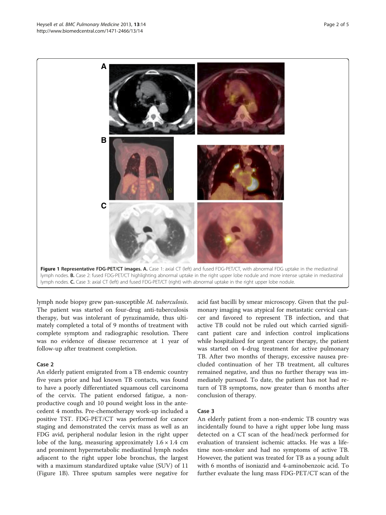lymph node biopsy grew pan-susceptible M. tuberculosis. The patient was started on four-drug anti-tuberculosis therapy, but was intolerant of pyrazinamide, thus ultimately completed a total of 9 months of treatment with complete symptom and radiographic resolution. There was no evidence of disease recurrence at 1 year of follow-up after treatment completion.

# Case 2

An elderly patient emigrated from a TB endemic country five years prior and had known TB contacts, was found to have a poorly differentiated squamous cell carcinoma of the cervix. The patient endorsed fatigue, a nonproductive cough and 10 pound weight loss in the antecedent 4 months. Pre-chemotherapy work-up included a positive TST. FDG-PET/CT was performed for cancer staging and demonstrated the cervix mass as well as an FDG avid, peripheral nodular lesion in the right upper lobe of the lung, measuring approximately  $1.6 \times 1.4$  cm and prominent hypermetabolic mediastinal lymph nodes adjacent to the right upper lobe bronchus, the largest with a maximum standardized uptake value (SUV) of 11 (Figure 1B). Three sputum samples were negative for

acid fast bacilli by smear microscopy. Given that the pulmonary imaging was atypical for metastatic cervical cancer and favored to represent TB infection, and that active TB could not be ruled out which carried significant patient care and infection control implications while hospitalized for urgent cancer therapy, the patient was started on 4-drug treatment for active pulmonary TB. After two months of therapy, excessive nausea precluded continuation of her TB treatment, all cultures remained negative, and thus no further therapy was immediately pursued. To date, the patient has not had return of TB symptoms, now greater than 6 months after conclusion of therapy.

#### Case 3

An elderly patient from a non-endemic TB country was incidentally found to have a right upper lobe lung mass detected on a CT scan of the head/neck performed for evaluation of transient ischemic attacks. He was a lifetime non-smoker and had no symptoms of active TB. However, the patient was treated for TB as a young adult with 6 months of isoniazid and 4-aminobenzoic acid. To further evaluate the lung mass FDG-PET/CT scan of the

<span id="page-1-0"></span>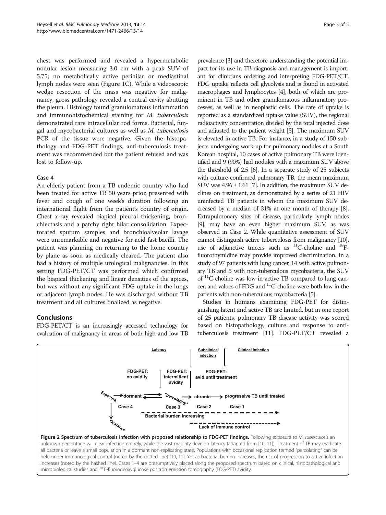<span id="page-2-0"></span>chest was performed and revealed a hypermetabolic nodular lesion measuring 3.0 cm with a peak SUV of 5.75; no metabolically active perihilar or mediastinal lymph nodes were seen (Figure [1C](#page-1-0)). While a videoscopic wedge resection of the mass was negative for malignancy, gross pathology revealed a central cavity abutting the pleura. Histology found granulomatous inflammation and immunohistochemical staining for M. tuberculosis demonstrated rare intracellular rod forms. Bacterial, fungal and mycobacterial cultures as well as M. tuberculosis PCR of the tissue were negative. Given the histopathology and FDG-PET findings, anti-tuberculosis treatment was recommended but the patient refused and was lost to follow-up.

# Case 4

An elderly patient from a TB endemic country who had been treated for active TB 50 years prior, presented with fever and cough of one week's duration following an international flight from the patient's country of origin. Chest x-ray revealed biapical pleural thickening, bronchiectasis and a patchy right hilar consolidation. Expectorated sputum samples and bronchioalveolar lavage were unremarkable and negative for acid fast bacilli. The patient was planning on returning to the home country by plane as soon as medically cleared. The patient also had a history of multiple urological malignancies. In this setting FDG-PET/CT was performed which confirmed the biapical thickening and linear densities of the apices, but was without any significant FDG uptake in the lungs or adjacent lymph nodes. He was discharged without TB treatment and all cultures finalized as negative.

# Conclusions

FDG-PET/CT is an increasingly accessed technology for evaluation of malignancy in areas of both high and low TB

prevalence [\[3\]](#page-4-0) and therefore understanding the potential impact for its use in TB diagnosis and management is important for clinicians ordering and interpreting FDG-PET/CT. FDG uptake reflects cell glycolysis and is found in activated macrophages and lymphocytes [\[4](#page-4-0)], both of which are prominent in TB and other granulomatous inflammatory processes, as well as in neoplastic cells. The rate of uptake is reported as a standardized uptake value (SUV), the regional radioactivity concentration divided by the total injected dose and adjusted to the patient weight [\[5](#page-4-0)]. The maximum SUV is elevated in active TB. For instance, in a study of 150 subjects undergoing work-up for pulmonary nodules at a South Korean hospital, 10 cases of active pulmonary TB were identified and 9 (90%) had nodules with a maximum SUV above the threshold of 2.5 [\[6\]](#page-4-0). In a separate study of 25 subjects with culture-confirmed pulmonary TB, the mean maximum SUV was  $4.96 \pm 1.61$  [\[7\]](#page-4-0). In addition, the maximum SUV declines on treatment, as demonstrated by a series of 21 HIV uninfected TB patients in whom the maximum SUV decreased by a median of 31% at one month of therapy [\[8\]](#page-4-0). Extrapulmonary sites of disease, particularly lymph nodes [[9](#page-4-0)], may have an even higher maximum SUV, as was observed in Case 2. While quantitative assessment of SUV cannot distinguish active tuberculosis from malignancy [\[10\]](#page-4-0), use of adjunctive tracers such as  ${}^{11}$ C-choline and  ${}^{18}$ Ffluorothymidine may provide improved discrimination. In a study of 97 patients with lung cancer, 14 with active pulmonary TB and 5 with non-tuberculous mycobacteria, the SUV of  $^{11}$ C-choline was low in active TB compared to lung cancer, and values of FDG and  $^{11}$ C-choline were both low in the patients with non-tuberculous mycobacteria [\[5\]](#page-4-0).

Studies in humans examining FDG-PET for distinguishing latent and active TB are limited, but in one report of 25 patients, pulmonary TB disease activity was scored based on histopathology, culture and response to antituberculosis treatment [[11](#page-4-0)]. FDG-PET/CT revealed a



unknown percentage will clear infection entirely, while the vast majority develop latency (adapted from [[10](#page-4-0), [11\]](#page-4-0)). Treatment of TB may eradicate all bacteria or leave a small population in a dormant non-replicating state. Populations with occasional replication termed "percolating" can be held under immunological control (noted by the dotted line) [\[10, 11](#page-4-0)]. Yet as bacterial burden increases, the risk of progression to active infection increases (noted by the hashed line). Cases 1–4 are presumptively placed along the proposed spectrum based on clinical, histopathological and microbiological studies and <sup>18</sup> F-fluorodeoxyglucose positron emission tomography (FDG-PET) avidity.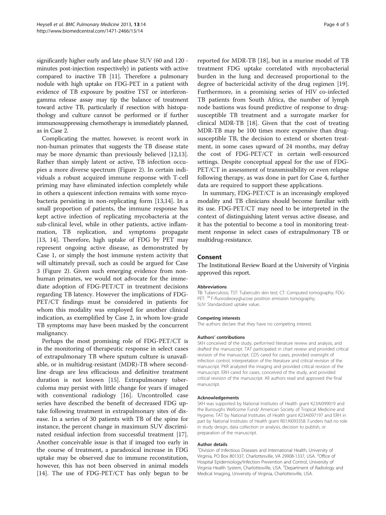significantly higher early and late phase SUV (60 and 120 minutes post-injection respectively) in patients with active compared to inactive TB [\[11\]](#page-4-0). Therefore a pulmonary nodule with high uptake on FDG-PET in a patient with evidence of TB exposure by positive TST or interferongamma release assay may tip the balance of treatment toward active TB, particularly if resection with histopathology and culture cannot be performed or if further immunosuppressing chemotherapy is immediately planned, as in Case 2.

Complicating the matter, however, is recent work in non-human primates that suggests the TB disease state may be more dynamic than previously believed [\[12,13](#page-4-0)]. Rather than simply latent or active, TB infection occupies a more diverse spectrum (Figure [2](#page-2-0)). In certain individuals a robust acquired immune response with T-cell priming may have eliminated infection completely while in others a quiescent infection remains with some mycobacteria persisting in non-replicating form [\[13,14\]](#page-4-0). In a small proportion of patients, the immune response has kept active infection of replicating mycobacteria at the sub-clinical level, while in other patients, active inflammation, TB replication, and symptoms propagate [[13, 14\]](#page-4-0). Therefore, high uptake of FDG by PET may represent ongoing active disease, as demonstrated by Case 1, or simply the host immune system activity that will ultimately prevail, such as could be argued for Case 3 (Figure [2\)](#page-2-0). Given such emerging evidence from nonhuman primates, we would not advocate for the immediate adoption of FDG-PET/CT in treatment decisions regarding TB latency. However the implications of FDG-PET/CT findings must be considered in patients for whom this modality was employed for another clinical indication, as exemplified by Case 2, in whom low-grade TB symptoms may have been masked by the concurrent malignancy.

Perhaps the most promising role of FDG-PET/CT is in the monitoring of therapeutic response in select cases of extrapulmonary TB where sputum culture is unavailable, or in multidrug-resistant (MDR)-TB where secondline drugs are less efficacious and definitive treatment duration is not known [\[15](#page-4-0)]. Extrapulmonary tuberculoma may persist with little change for years if imaged with conventional radiology [[16\]](#page-4-0). Uncontrolled case series have described the benefit of decreased FDG uptake following treatment in extrapulmonary sites of disease. In a series of 30 patients with TB of the spine for instance, the percent change in maximum SUV discriminated residual infection from successful treatment [\[17](#page-4-0)]. Another conceivable issue is that if imaged too early in the course of treatment, a paradoxical increase in FDG uptake may be observed due to immune reconstitution, however, this has not been observed in animal models [[14\]](#page-4-0). The use of FDG-PET/CT has only begun to be

reported for MDR-TB [\[18\]](#page-4-0), but in a murine model of TB treatment FDG uptake correlated with mycobacterial burden in the lung and decreased proportional to the degree of bactericidal activity of the drug regimen [\[19](#page-4-0)]. Furthermore, in a promising series of HIV co-infected TB patients from South Africa, the number of lymph node bastions was found predictive of response to drugsusceptible TB treatment and a surrogate marker for clinical MDR-TB [\[18](#page-4-0)]. Given that the cost of treating MDR-TB may be 100 times more expensive than drugsusceptible TB, the decision to extend or shorten treatment, in some cases upward of 24 months, may defray the cost of FDG-PET/CT in certain well-resourced settings. Despite conceptual appeal for the use of FDG-PET/CT in assessment of transmissibility or even relapse following therapy, as was done in part for Case 4, further data are required to support these applications.

In summary, FDG-PET/CT is an increasingly employed modality and TB clinicians should become familiar with its use. FDG-PET/CT may need to be interpreted in the context of distinguishing latent versus active disease, and it has the potential to become a tool in monitoring treatment response in select cases of extrapulmonary TB or multidrug-resistance.

# Consent

The Institutional Review Board at the University of Virginia approved this report.

#### Abbreviations

TB: Tuberculosis; TST: Tuberculin skin test; CT: Computed tomography; FDG-PET: <sup>18</sup> F-fluorodeoxyglucose positron emission tomography; SUV: Standardized uptake value..

#### Competing interests

The authors declare that they have no competing interest.

#### Authors' contributions

SKH conceived of the study, performed literature review and analysis, and drafted the manuscript. TAT participated in chart review and provided critical revision of the manuscript. CDS cared for cases, provided oversight of infection control, interpretation of the literature and critical revision of the manuscript. PKR analyzed the imaging and provided critical revision of the manuscript. ERH cared for cases, conceived of the study, and provided critical revision of the manuscript. All authors read and approved the final manuscript.

#### Acknowledgements

SKH was supported by National Institutes of Health grant K23AI099019 and the Burroughs Wellcome Fund/ American Society of Tropical Medicine and Hygiene, TAT by National Institutes of Health grant K23AI097197 and ERH in part by National Institutes of Health grant R01AI093358. Funders had no role in study design, data collection or analysis, decision to publish, or preparation of the manuscript.

#### Author details

<sup>1</sup> Division of Infectious Diseases and International Health, University of Virginia, PO Box 801337, Charlottesville, VA 29908-1337, USA. <sup>2</sup>Office of Hospital Epidemiology/Infection Prevention and Control, University of Virginia Health System, Charlottesville, USA. <sup>3</sup>Department of Radiology and Medical Imaging, University of Virginia, Charlottesville, USA.